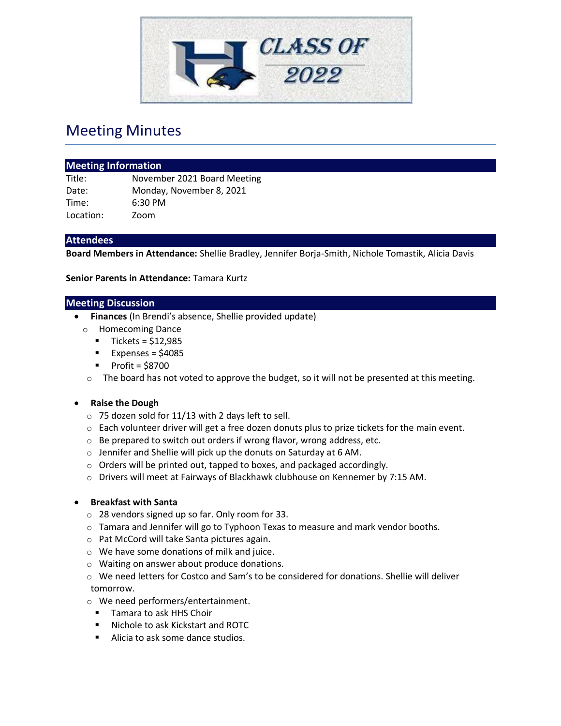

# Meeting Minutes

| <b>Meeting Information</b> |                             |
|----------------------------|-----------------------------|
| Title:                     | November 2021 Board Meeting |
| Date:                      | Monday, November 8, 2021    |
| Time:                      | $6:30$ PM                   |
| Location:                  | Zoom                        |

### **Attendees**

**Board Members in Attendance:** Shellie Bradley, Jennifer Borja-Smith, Nichole Tomastik, Alicia Davis

**Senior Parents in Attendance:** Tamara Kurtz

#### **Meeting Discussion**

- **Finances** (In Brendi's absence, Shellie provided update)
- o Homecoming Dance
	- $\blacksquare$  Tickets = \$12,985
	- $\blacksquare$  Expenses = \$4085
	- $\blacksquare$  Profit = \$8700
- o The board has not voted to approve the budget, so it will not be presented at this meeting.

#### • **Raise the Dough**

- o 75 dozen sold for 11/13 with 2 days left to sell.
- $\circ$  Each volunteer driver will get a free dozen donuts plus to prize tickets for the main event.
- o Be prepared to switch out orders if wrong flavor, wrong address, etc.
- o Jennifer and Shellie will pick up the donuts on Saturday at 6 AM.
- o Orders will be printed out, tapped to boxes, and packaged accordingly.
- o Drivers will meet at Fairways of Blackhawk clubhouse on Kennemer by 7:15 AM.

#### • **Breakfast with Santa**

- o 28 vendors signed up so far. Only room for 33.
- $\circ$  Tamara and Jennifer will go to Typhoon Texas to measure and mark vendor booths.
- o Pat McCord will take Santa pictures again.
- o We have some donations of milk and juice.
- o Waiting on answer about produce donations.
- $\circ$  We need letters for Costco and Sam's to be considered for donations. Shellie will deliver tomorrow.
- o We need performers/entertainment.
	- Tamara to ask HHS Choir
	- Nichole to ask Kickstart and ROTC
	- Alicia to ask some dance studios.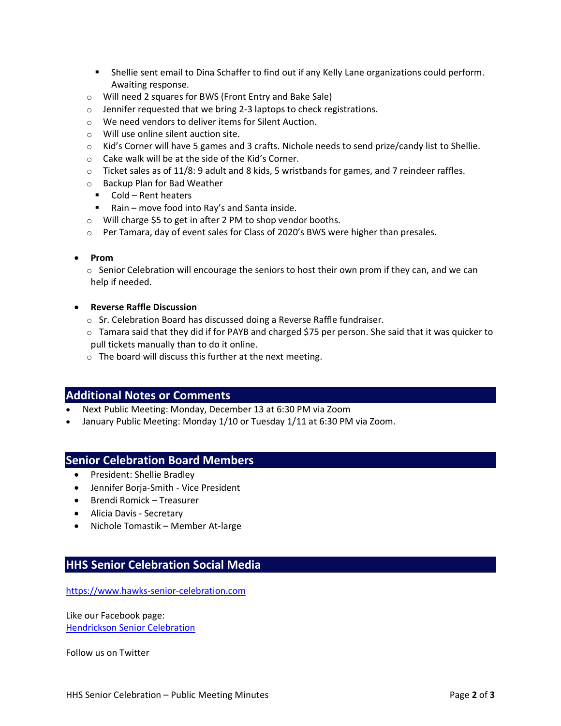- Shellie sent email to Dina Schaffer to find out if any Kelly Lane organizations could perform. Awaiting response.
- o Will need 2 squares for BWS (Front Entry and Bake Sale)
- o Jennifer requested that we bring 2-3 laptops to check registrations.
- o We need vendors to deliver items for Silent Auction.
- o Will use online silent auction site.
- o Kid's Corner will have 5 games and 3 crafts. Nichole needs to send prize/candy list to Shellie.
- o Cake walk will be at the side of the Kid's Corner.
- $\circ$  Ticket sales as of 11/8: 9 adult and 8 kids, 5 wristbands for games, and 7 reindeer raffles.
- o Backup Plan for Bad Weather
	- Cold Rent heaters
	- Rain move food into Ray's and Santa inside.
- o Will charge \$5 to get in after 2 PM to shop vendor booths.
- $\circ$  Per Tamara, day of event sales for Class of 2020's BWS were higher than presales.

#### • **Prom**

 $\circ$  Senior Celebration will encourage the seniors to host their own prom if they can, and we can help if needed.

#### • **Reverse Raffle Discussion**

- o Sr. Celebration Board has discussed doing a Reverse Raffle fundraiser.
- o Tamara said that they did if for PAYB and charged \$75 per person. She said that it was quicker to pull tickets manually than to do it online.
- o The board will discuss this further at the next meeting.

# **Additional Notes or Comments**

- Next Public Meeting: Monday, December 13 at 6:30 PM via Zoom
- January Public Meeting: Monday 1/10 or Tuesday 1/11 at 6:30 PM via Zoom.

## **Senior Celebration Board Members**

- President: Shellie Bradley
- Jennifer Borja-Smith Vice President
- Brendi Romick Treasurer
- Alicia Davis Secretary
- Nichole Tomastik Member At-large

## **HHS Senior Celebration Social Media**

[https://www.hawks-senior-celebration.com](https://www.hawks-senior-celebration.com/)

Like our Facebook page: [Hendrickson Senior Celebration](https://www.facebook.com/hawkseniorcelebration/)

Follow us on Twitter